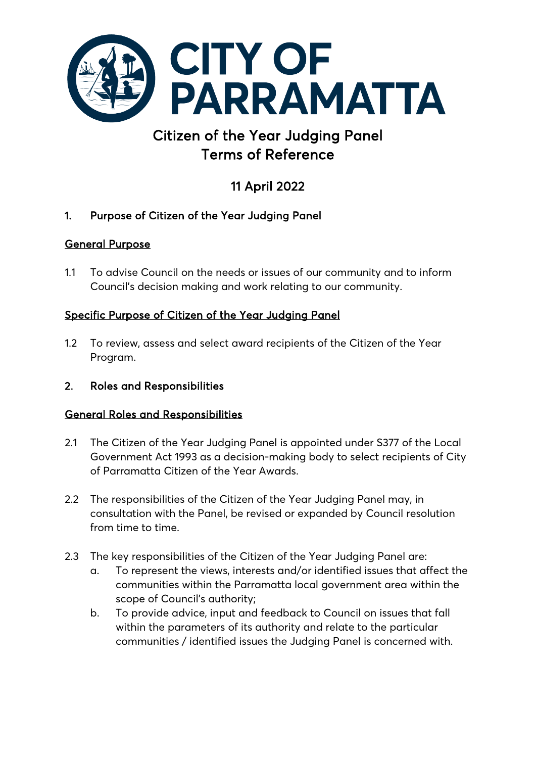

# Citizen of the Year Judging Panel Terms of Reference

# 11 April 2022

# 1. Purpose of Citizen of the Year Judging Panel

# General Purpose

1.1 To advise Council on the needs or issues of our community and to inform Council's decision making and work relating to our community.

# Specific Purpose of Citizen of the Year Judging Panel

- 1.2 To review, assess and select award recipients of the Citizen of the Year Program.
- 2. Roles and Responsibilities

# General Roles and Responsibilities

- 2.1 The Citizen of the Year Judging Panel is appointed under S377 of the Local Government Act 1993 as a decision-making body to select recipients of City of Parramatta Citizen of the Year Awards.
- 2.2 The responsibilities of the Citizen of the Year Judging Panel may, in consultation with the Panel, be revised or expanded by Council resolution from time to time.
- 2.3 The key responsibilities of the Citizen of the Year Judging Panel are:
	- a. To represent the views, interests and/or identified issues that affect the communities within the Parramatta local government area within the scope of Council's authority;
	- b. To provide advice, input and feedback to Council on issues that fall within the parameters of its authority and relate to the particular communities / identified issues the Judging Panel is concerned with.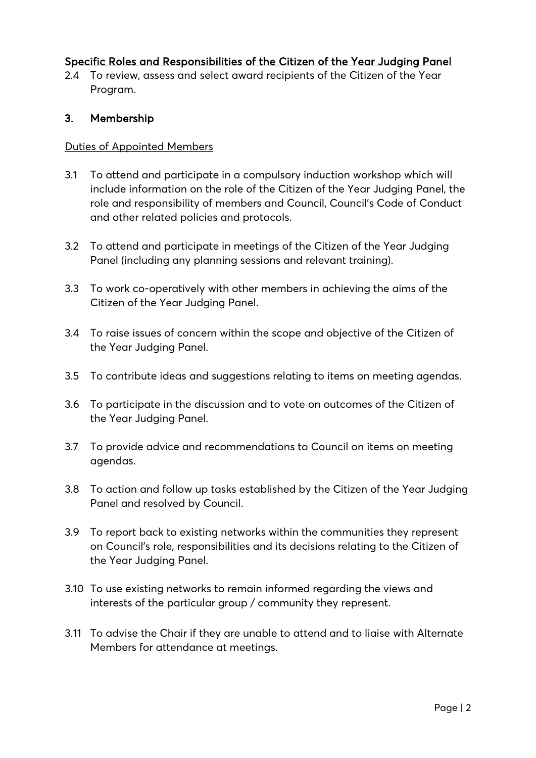## Specific Roles and Responsibilities of the Citizen of the Year Judging Panel

2.4 To review, assess and select award recipients of the Citizen of the Year Program.

#### 3. Membership

#### Duties of Appointed Members

- 3.1 To attend and participate in a compulsory induction workshop which will include information on the role of the Citizen of the Year Judging Panel, the role and responsibility of members and Council, Council's Code of Conduct and other related policies and protocols.
- 3.2 To attend and participate in meetings of the Citizen of the Year Judging Panel (including any planning sessions and relevant training).
- 3.3 To work co-operatively with other members in achieving the aims of the Citizen of the Year Judging Panel.
- 3.4 To raise issues of concern within the scope and objective of the Citizen of the Year Judging Panel.
- 3.5 To contribute ideas and suggestions relating to items on meeting agendas.
- 3.6 To participate in the discussion and to vote on outcomes of the Citizen of the Year Judging Panel.
- 3.7 To provide advice and recommendations to Council on items on meeting agendas.
- 3.8 To action and follow up tasks established by the Citizen of the Year Judging Panel and resolved by Council.
- 3.9 To report back to existing networks within the communities they represent on Council's role, responsibilities and its decisions relating to the Citizen of the Year Judging Panel.
- 3.10 To use existing networks to remain informed regarding the views and interests of the particular group / community they represent.
- 3.11 To advise the Chair if they are unable to attend and to liaise with Alternate Members for attendance at meetings.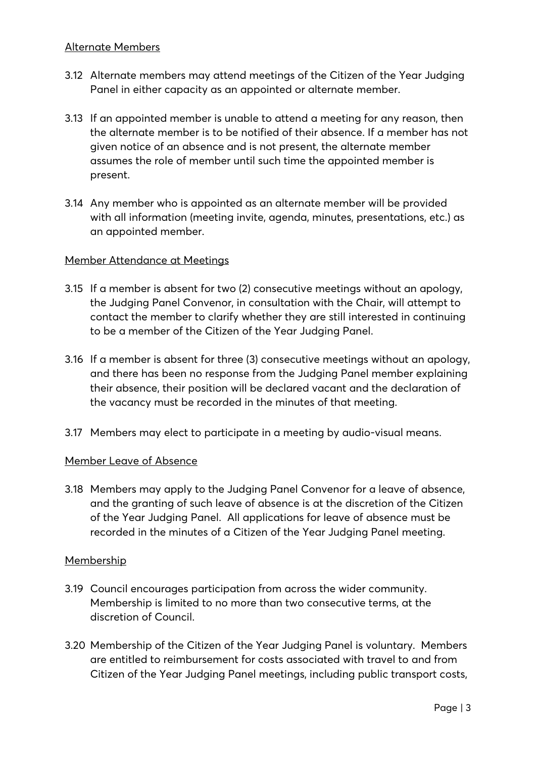- 3.12 Alternate members may attend meetings of the Citizen of the Year Judging Panel in either capacity as an appointed or alternate member.
- 3.13 If an appointed member is unable to attend a meeting for any reason, then the alternate member is to be notified of their absence. If a member has not given notice of an absence and is not present, the alternate member assumes the role of member until such time the appointed member is present.
- 3.14 Any member who is appointed as an alternate member will be provided with all information (meeting invite, agenda, minutes, presentations, etc.) as an appointed member.

#### Member Attendance at Meetings

- 3.15 If a member is absent for two (2) consecutive meetings without an apology, the Judging Panel Convenor, in consultation with the Chair, will attempt to contact the member to clarify whether they are still interested in continuing to be a member of the Citizen of the Year Judging Panel.
- 3.16 If a member is absent for three (3) consecutive meetings without an apology, and there has been no response from the Judging Panel member explaining their absence, their position will be declared vacant and the declaration of the vacancy must be recorded in the minutes of that meeting.
- 3.17 Members may elect to participate in a meeting by audio-visual means.

#### Member Leave of Absence

3.18 Members may apply to the Judging Panel Convenor for a leave of absence, and the granting of such leave of absence is at the discretion of the Citizen of the Year Judging Panel. All applications for leave of absence must be recorded in the minutes of a Citizen of the Year Judging Panel meeting.

#### Membership

- 3.19 Council encourages participation from across the wider community. Membership is limited to no more than two consecutive terms, at the discretion of Council.
- 3.20 Membership of the Citizen of the Year Judging Panel is voluntary. Members are entitled to reimbursement for costs associated with travel to and from Citizen of the Year Judging Panel meetings, including public transport costs,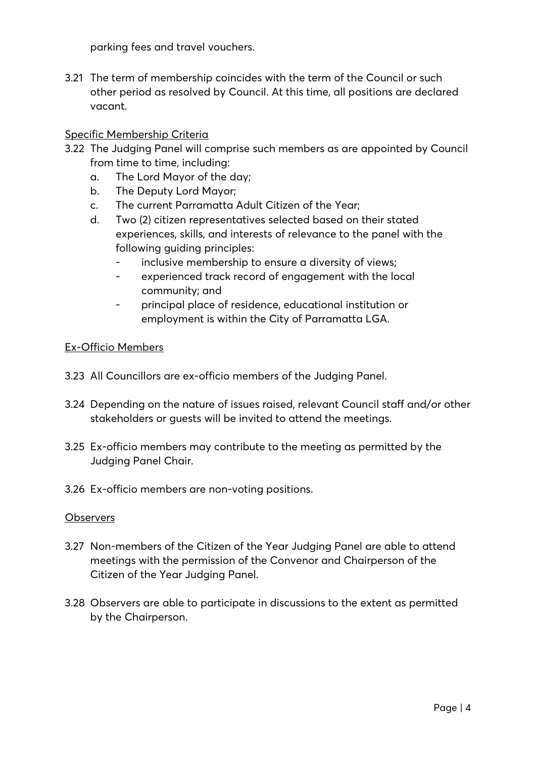parking fees and travel vouchers.

3.21 The term of membership coincides with the term of the Council or such other period as resolved by Council. At this time, all positions are declared vacant.

## Specific Membership Criteria

- 3.22 The Judging Panel will comprise such members as are appointed by Council from time to time, including:
	- a. The Lord Mayor of the day;
	- b. The Deputy Lord Mayor;
	- c. The current Parramatta Adult Citizen of the Year;
	- d. Two (2) citizen representatives selected based on their stated experiences, skills, and interests of relevance to the panel with the following guiding principles:
		- inclusive membership to ensure a diversity of views;
		- experienced track record of engagement with the local community; and
		- principal place of residence, educational institution or employment is within the City of Parramatta LGA.

#### Ex-Officio Members

- 3.23 All Councillors are ex-officio members of the Judging Panel.
- 3.24 Depending on the nature of issues raised, relevant Council staff and/or other stakeholders or guests will be invited to attend the meetings.
- 3.25 Ex-officio members may contribute to the meeting as permitted by the Judging Panel Chair.
- 3.26 Ex-officio members are non-voting positions.

#### **Observers**

- 3.27 Non-members of the Citizen of the Year Judging Panel are able to attend meetings with the permission of the Convenor and Chairperson of the Citizen of the Year Judging Panel.
- 3.28 Observers are able to participate in discussions to the extent as permitted by the Chairperson.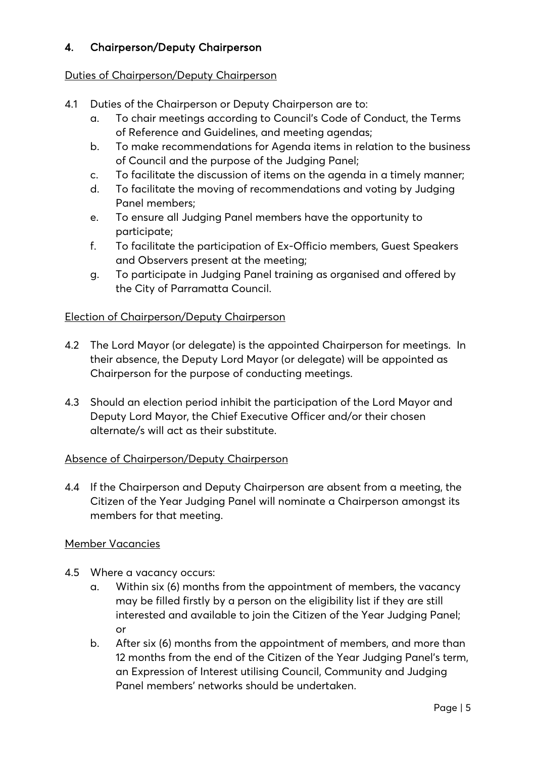# 4. Chairperson/Deputy Chairperson

## Duties of Chairperson/Deputy Chairperson

- 4.1 Duties of the Chairperson or Deputy Chairperson are to:
	- a. To chair meetings according to Council's Code of Conduct, the Terms of Reference and Guidelines, and meeting agendas;
	- b. To make recommendations for Agenda items in relation to the business of Council and the purpose of the Judging Panel;
	- c. To facilitate the discussion of items on the agenda in a timely manner;
	- d. To facilitate the moving of recommendations and voting by Judging Panel members;
	- e. To ensure all Judging Panel members have the opportunity to participate;
	- f. To facilitate the participation of Ex-Officio members, Guest Speakers and Observers present at the meeting;
	- g. To participate in Judging Panel training as organised and offered by the City of Parramatta Council.

## Election of Chairperson/Deputy Chairperson

- 4.2 The Lord Mayor (or delegate) is the appointed Chairperson for meetings. In their absence, the Deputy Lord Mayor (or delegate) will be appointed as Chairperson for the purpose of conducting meetings.
- 4.3 Should an election period inhibit the participation of the Lord Mayor and Deputy Lord Mayor, the Chief Executive Officer and/or their chosen alternate/s will act as their substitute.

## Absence of Chairperson/Deputy Chairperson

4.4 If the Chairperson and Deputy Chairperson are absent from a meeting, the Citizen of the Year Judging Panel will nominate a Chairperson amongst its members for that meeting.

## Member Vacancies

- 4.5 Where a vacancy occurs:
	- a. Within six (6) months from the appointment of members, the vacancy may be filled firstly by a person on the eligibility list if they are still interested and available to join the Citizen of the Year Judging Panel; or
	- b. After six (6) months from the appointment of members, and more than 12 months from the end of the Citizen of the Year Judging Panel's term, an Expression of Interest utilising Council, Community and Judging Panel members' networks should be undertaken.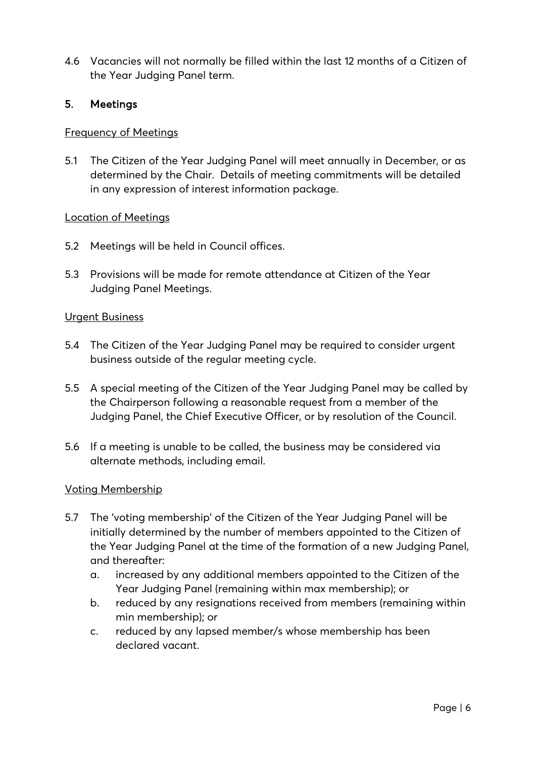4.6 Vacancies will not normally be filled within the last 12 months of a Citizen of the Year Judging Panel term.

## 5. Meetings

#### Frequency of Meetings

5.1 The Citizen of the Year Judging Panel will meet annually in December, or as determined by the Chair. Details of meeting commitments will be detailed in any expression of interest information package.

#### Location of Meetings

- 5.2 Meetings will be held in Council offices.
- 5.3 Provisions will be made for remote attendance at Citizen of the Year Judging Panel Meetings.

#### Urgent Business

- 5.4 The Citizen of the Year Judging Panel may be required to consider urgent business outside of the regular meeting cycle.
- 5.5 A special meeting of the Citizen of the Year Judging Panel may be called by the Chairperson following a reasonable request from a member of the Judging Panel, the Chief Executive Officer, or by resolution of the Council.
- 5.6 If a meeting is unable to be called, the business may be considered via alternate methods, including email.

#### Voting Membership

- 5.7 The 'voting membership' of the Citizen of the Year Judging Panel will be initially determined by the number of members appointed to the Citizen of the Year Judging Panel at the time of the formation of a new Judging Panel, and thereafter:
	- a. increased by any additional members appointed to the Citizen of the Year Judging Panel (remaining within max membership); or
	- b. reduced by any resignations received from members (remaining within min membership); or
	- c. reduced by any lapsed member/s whose membership has been declared vacant.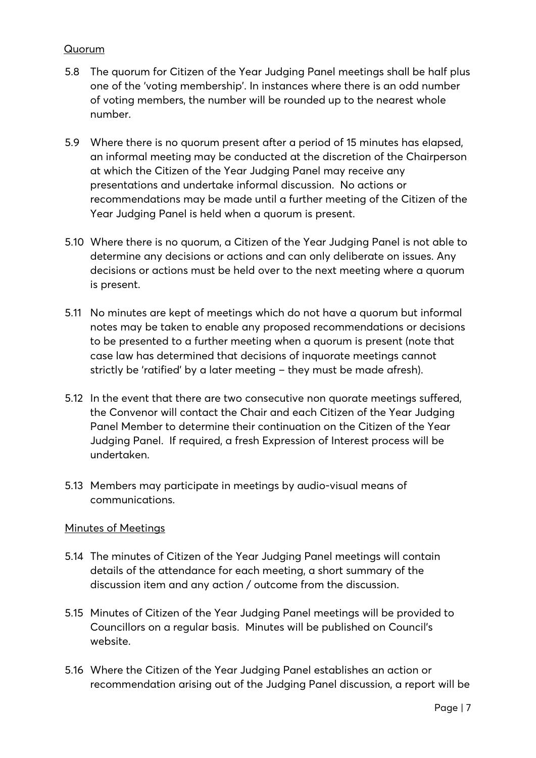## Quorum

- 5.8 The quorum for Citizen of the Year Judging Panel meetings shall be half plus one of the 'voting membership'. In instances where there is an odd number of voting members, the number will be rounded up to the nearest whole number.
- 5.9 Where there is no quorum present after a period of 15 minutes has elapsed, an informal meeting may be conducted at the discretion of the Chairperson at which the Citizen of the Year Judging Panel may receive any presentations and undertake informal discussion. No actions or recommendations may be made until a further meeting of the Citizen of the Year Judging Panel is held when a quorum is present.
- 5.10 Where there is no quorum, a Citizen of the Year Judging Panel is not able to determine any decisions or actions and can only deliberate on issues. Any decisions or actions must be held over to the next meeting where a quorum is present.
- 5.11 No minutes are kept of meetings which do not have a quorum but informal notes may be taken to enable any proposed recommendations or decisions to be presented to a further meeting when a quorum is present (note that case law has determined that decisions of inquorate meetings cannot strictly be 'ratified' by a later meeting – they must be made afresh).
- 5.12 In the event that there are two consecutive non quorate meetings suffered, the Convenor will contact the Chair and each Citizen of the Year Judging Panel Member to determine their continuation on the Citizen of the Year Judging Panel. If required, a fresh Expression of Interest process will be undertaken.
- 5.13 Members may participate in meetings by audio-visual means of communications.

#### Minutes of Meetings

- 5.14 The minutes of Citizen of the Year Judging Panel meetings will contain details of the attendance for each meeting, a short summary of the discussion item and any action / outcome from the discussion.
- 5.15 Minutes of Citizen of the Year Judging Panel meetings will be provided to Councillors on a regular basis. Minutes will be published on Council's website.
- 5.16 Where the Citizen of the Year Judging Panel establishes an action or recommendation arising out of the Judging Panel discussion, a report will be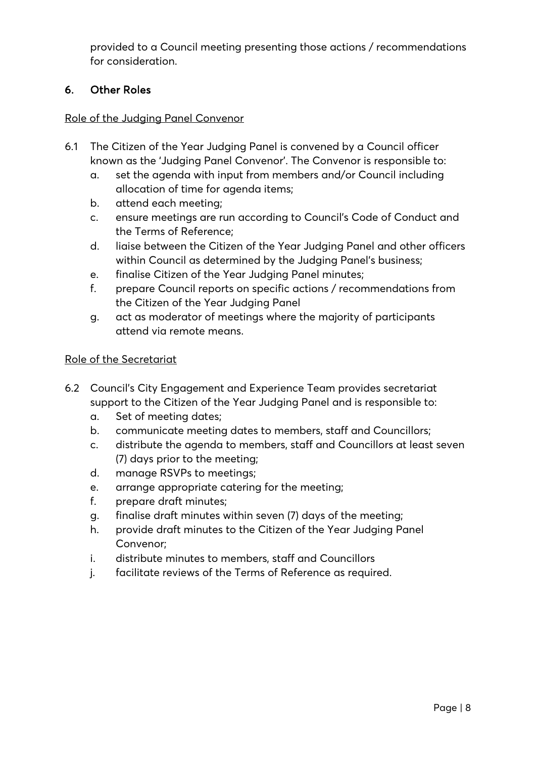provided to a Council meeting presenting those actions / recommendations for consideration.

## 6. Other Roles

#### Role of the Judging Panel Convenor

- 6.1 The Citizen of the Year Judging Panel is convened by a Council officer known as the 'Judging Panel Convenor'. The Convenor is responsible to:
	- a. set the agenda with input from members and/or Council including allocation of time for agenda items;
	- b. attend each meeting;
	- c. ensure meetings are run according to Council's Code of Conduct and the Terms of Reference;
	- d. liaise between the Citizen of the Year Judging Panel and other officers within Council as determined by the Judging Panel's business;
	- e. finalise Citizen of the Year Judging Panel minutes;
	- f. prepare Council reports on specific actions / recommendations from the Citizen of the Year Judging Panel
	- g. act as moderator of meetings where the majority of participants attend via remote means.

#### Role of the Secretariat

- 6.2 Council's City Engagement and Experience Team provides secretariat support to the Citizen of the Year Judging Panel and is responsible to:
	- a. Set of meeting dates;
	- b. communicate meeting dates to members, staff and Councillors;
	- c. distribute the agenda to members, staff and Councillors at least seven (7) days prior to the meeting;
	- d. manage RSVPs to meetings;
	- e. arrange appropriate catering for the meeting;
	- f. prepare draft minutes;
	- g. finalise draft minutes within seven (7) days of the meeting;
	- h. provide draft minutes to the Citizen of the Year Judging Panel Convenor;
	- i. distribute minutes to members, staff and Councillors
	- j. facilitate reviews of the Terms of Reference as required.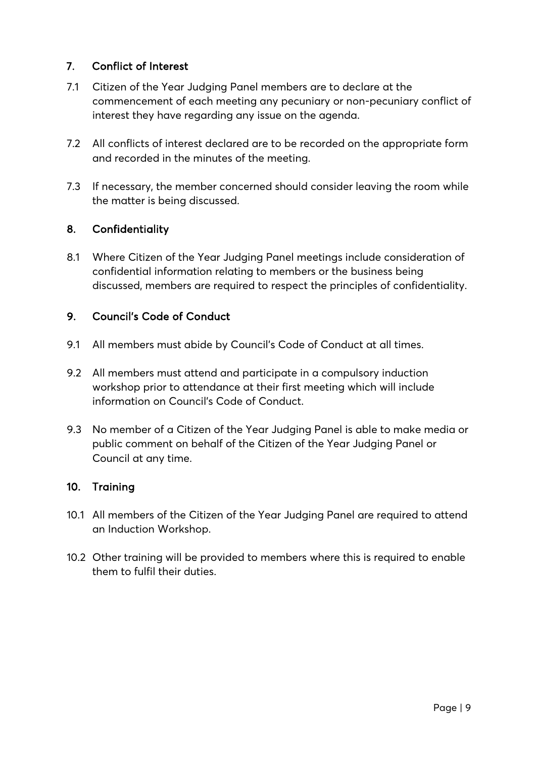## 7. Conflict of Interest

- 7.1 Citizen of the Year Judging Panel members are to declare at the commencement of each meeting any pecuniary or non-pecuniary conflict of interest they have regarding any issue on the agenda.
- 7.2 All conflicts of interest declared are to be recorded on the appropriate form and recorded in the minutes of the meeting.
- 7.3 If necessary, the member concerned should consider leaving the room while the matter is being discussed.

## 8. Confidentiality

8.1 Where Citizen of the Year Judging Panel meetings include consideration of confidential information relating to members or the business being discussed, members are required to respect the principles of confidentiality.

## 9. Council's Code of Conduct

- 9.1 All members must abide by Council's Code of Conduct at all times.
- 9.2 All members must attend and participate in a compulsory induction workshop prior to attendance at their first meeting which will include information on Council's Code of Conduct.
- 9.3 No member of a Citizen of the Year Judging Panel is able to make media or public comment on behalf of the Citizen of the Year Judging Panel or Council at any time.

## 10. Training

- 10.1 All members of the Citizen of the Year Judging Panel are required to attend an Induction Workshop.
- 10.2 Other training will be provided to members where this is required to enable them to fulfil their duties.